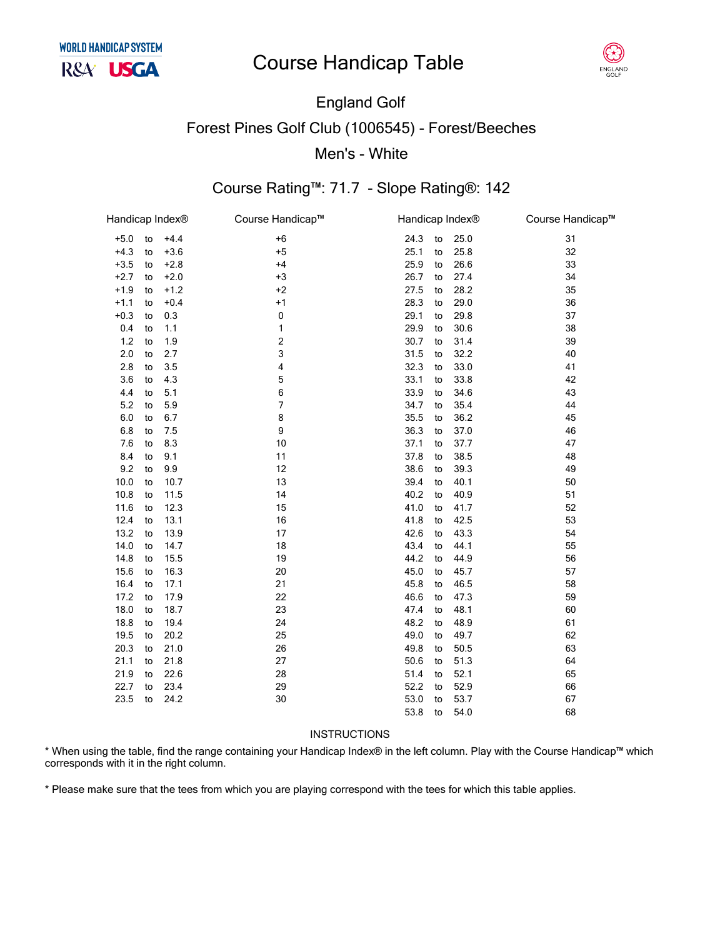## **Course Handicap Table**



## **England Golf Forest Pines Golf Club (1006545) - Forest/Beeches** Men's - White

### Course Rating™: 71.7 - Slope Rating®: 142

| Handicap Index® |    |        | Course Handicap™        | Handicap Index® |    | Course Handicap™ |    |
|-----------------|----|--------|-------------------------|-----------------|----|------------------|----|
| $+5.0$          | to | $+4.4$ | $+6$                    | 24.3            | to | 25.0             | 31 |
| $+4.3$          | to | $+3.6$ | $+5$                    | 25.1            | to | 25.8             | 32 |
| $+3.5$          | to | $+2.8$ | $+4$                    | 25.9            | to | 26.6             | 33 |
| $+2.7$          | to | $+2.0$ | $+3$                    | 26.7            | to | 27.4             | 34 |
| $+1.9$          | to | $+1.2$ | $+2$                    | 27.5            | to | 28.2             | 35 |
| $+1.1$          | to | $+0.4$ | $+1$                    | 28.3            | to | 29.0             | 36 |
| $+0.3$          | to | 0.3    | $\pmb{0}$               | 29.1            | to | 29.8             | 37 |
| 0.4             | to | 1.1    | 1                       | 29.9            | to | 30.6             | 38 |
| $1.2$           | to | 1.9    | $\overline{\mathbf{c}}$ | 30.7            | to | 31.4             | 39 |
| 2.0             | to | 2.7    | 3                       | 31.5            | to | 32.2             | 40 |
| 2.8             | to | 3.5    | 4                       | 32.3            | to | 33.0             | 41 |
| 3.6             | to | 4.3    | 5                       | 33.1            | to | 33.8             | 42 |
| 4.4             | to | 5.1    | 6                       | 33.9            | to | 34.6             | 43 |
| 5.2             | to | 5.9    | 7                       | 34.7            | to | 35.4             | 44 |
| 6.0             | to | 6.7    | 8                       | 35.5            | to | 36.2             | 45 |
| 6.8             | to | 7.5    | 9                       | 36.3            | to | 37.0             | 46 |
| 7.6             | to | 8.3    | 10                      | 37.1            | to | 37.7             | 47 |
| 8.4             | to | 9.1    | 11                      | 37.8            | to | 38.5             | 48 |
| 9.2             | to | 9.9    | 12                      | 38.6            | to | 39.3             | 49 |
| 10.0            | to | 10.7   | 13                      | 39.4            | to | 40.1             | 50 |
| 10.8            | to | 11.5   | 14                      | 40.2            | to | 40.9             | 51 |
| 11.6            | to | 12.3   | 15                      | 41.0            | to | 41.7             | 52 |
| 12.4            | to | 13.1   | 16                      | 41.8            | to | 42.5             | 53 |
| 13.2            | to | 13.9   | 17                      | 42.6            | to | 43.3             | 54 |
| 14.0            | to | 14.7   | 18                      | 43.4            | to | 44.1             | 55 |
| 14.8            | to | 15.5   | 19                      | 44.2            | to | 44.9             | 56 |
| 15.6            | to | 16.3   | 20                      | 45.0            | to | 45.7             | 57 |
| 16.4            | to | 17.1   | 21                      | 45.8            | to | 46.5             | 58 |
| 17.2            | to | 17.9   | 22                      | 46.6            | to | 47.3             | 59 |
| 18.0            | to | 18.7   | 23                      | 47.4            | to | 48.1             | 60 |
| 18.8            | to | 19.4   | 24                      | 48.2            | to | 48.9             | 61 |
| 19.5            | to | 20.2   | 25                      | 49.0            | to | 49.7             | 62 |
| 20.3            | to | 21.0   | 26                      | 49.8            | to | 50.5             | 63 |
| 21.1            | to | 21.8   | 27                      | 50.6            | to | 51.3             | 64 |
| 21.9            | to | 22.6   | 28                      | 51.4            | to | 52.1             | 65 |
| 22.7            | to | 23.4   | 29                      | 52.2            | to | 52.9             | 66 |
| 23.5            | to | 24.2   | 30                      | 53.0            | to | 53.7             | 67 |
|                 |    |        |                         | 53.8            | to | 54.0             | 68 |
|                 |    |        |                         |                 |    |                  |    |

#### **INSTRUCTIONS**

\* When using the table, find the range containing your Handicap Index® in the left column. Play with the Course Handicap™ which corresponds with it in the right column.

\* Please make sure that the tees from which you are playing correspond with the tees for which this table applies.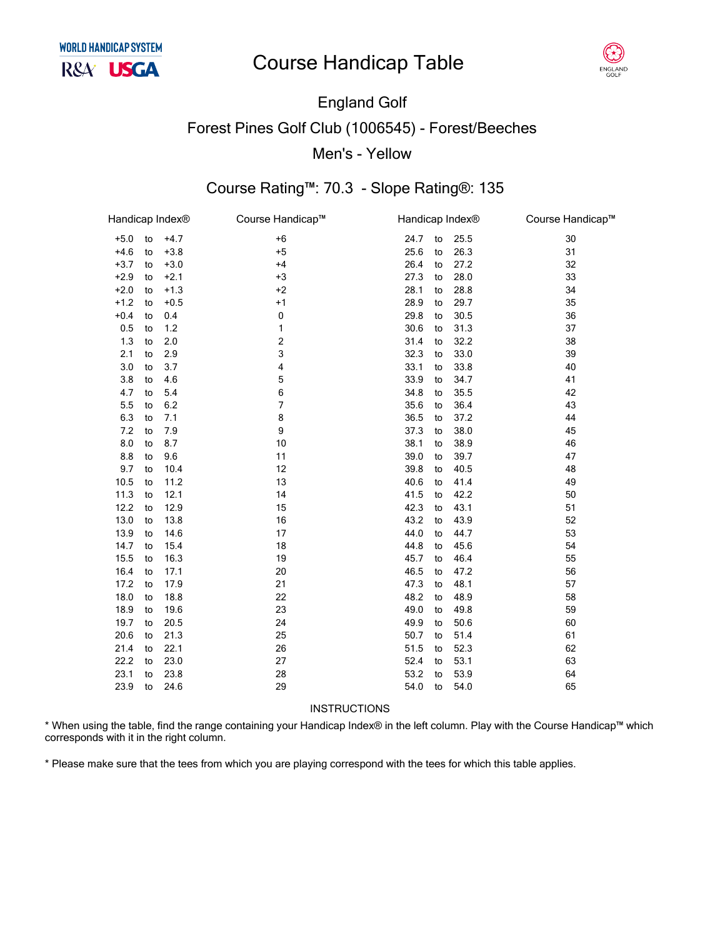# **Course Handicap Table**



### England Golf Forest Pines Golf Club (1006545) - Forest/Beeches Men's - Yellow

### Course Rating™: 70.3 - Slope Rating®: 135

| Handicap Index® |    |        | Course Handicap™ | Handicap Index <sup>®</sup> |    |      | Course Handicap™ |
|-----------------|----|--------|------------------|-----------------------------|----|------|------------------|
| $+5.0$          | to | $+4.7$ | $+6$             | 24.7                        | to | 25.5 | 30               |
| $+4.6$          | to | $+3.8$ | $+5$             | 25.6                        | to | 26.3 | 31               |
| $+3.7$          | to | $+3.0$ | $+4$             | 26.4                        | to | 27.2 | 32               |
| $+2.9$          | to | $+2.1$ | $+3$             | 27.3                        | to | 28.0 | 33               |
| $+2.0$          | to | $+1.3$ | $+2$             | 28.1                        | to | 28.8 | 34               |
| $+1.2$          | to | $+0.5$ | $+1$             | 28.9                        | to | 29.7 | 35               |
| $+0.4$          | to | 0.4    | 0                | 29.8                        | to | 30.5 | 36               |
| 0.5             | to | 1.2    | 1                | 30.6                        | to | 31.3 | 37               |
| 1.3             | to | 2.0    | 2                | 31.4                        | to | 32.2 | 38               |
| 2.1             | to | 2.9    | 3                | 32.3                        | to | 33.0 | 39               |
| 3.0             | to | 3.7    | 4                | 33.1                        | to | 33.8 | 40               |
| 3.8             | to | 4.6    | 5                | 33.9                        | to | 34.7 | 41               |
| 4.7             | to | 5.4    | 6                | 34.8                        | to | 35.5 | 42               |
| 5.5             | to | 6.2    | $\overline{7}$   | 35.6                        | to | 36.4 | 43               |
| 6.3             | to | 7.1    | 8                | 36.5                        | to | 37.2 | 44               |
| 7.2             | to | 7.9    | 9                | 37.3                        | to | 38.0 | 45               |
| 8.0             | to | 8.7    | 10               | 38.1                        | to | 38.9 | 46               |
| 8.8             | to | 9.6    | 11               | 39.0                        | to | 39.7 | 47               |
| 9.7             | to | 10.4   | 12               | 39.8                        | to | 40.5 | 48               |
| 10.5            | to | 11.2   | 13               | 40.6                        | to | 41.4 | 49               |
| 11.3            | to | 12.1   | 14               | 41.5                        | to | 42.2 | 50               |
| 12.2            | to | 12.9   | 15               | 42.3                        | to | 43.1 | 51               |
| 13.0            | to | 13.8   | 16               | 43.2                        | to | 43.9 | 52               |
| 13.9            | to | 14.6   | 17               | 44.0                        | to | 44.7 | 53               |
| 14.7            | to | 15.4   | 18               | 44.8                        | to | 45.6 | 54               |
| 15.5            | to | 16.3   | 19               | 45.7                        | to | 46.4 | 55               |
| 16.4            | to | 17.1   | 20               | 46.5                        | to | 47.2 | 56               |
| 17.2            | to | 17.9   | 21               | 47.3                        | to | 48.1 | 57               |
| 18.0            | to | 18.8   | 22               | 48.2                        | to | 48.9 | 58               |
| 18.9            | to | 19.6   | 23               | 49.0                        | to | 49.8 | 59               |
| 19.7            | to | 20.5   | 24               | 49.9                        | to | 50.6 | 60               |
| 20.6            | to | 21.3   | 25               | 50.7                        | to | 51.4 | 61               |
| 21.4            | to | 22.1   | 26               | 51.5                        | to | 52.3 | 62               |
| 22.2            | to | 23.0   | 27               | 52.4                        | to | 53.1 | 63               |
| 23.1            | to | 23.8   | 28               | 53.2                        | to | 53.9 | 64               |
| 23.9            | to | 24.6   | 29               | 54.0                        | to | 54.0 | 65               |
|                 |    |        |                  |                             |    |      |                  |

#### INSTRUCTIONS

\* When using the table, find the range containing your Handicap Index® in the left column. Play with the Course Handicap™ which corresponds with it in the right column.

\* Please make sure that the tees from which you are playing correspond with the tees for which this table applies.